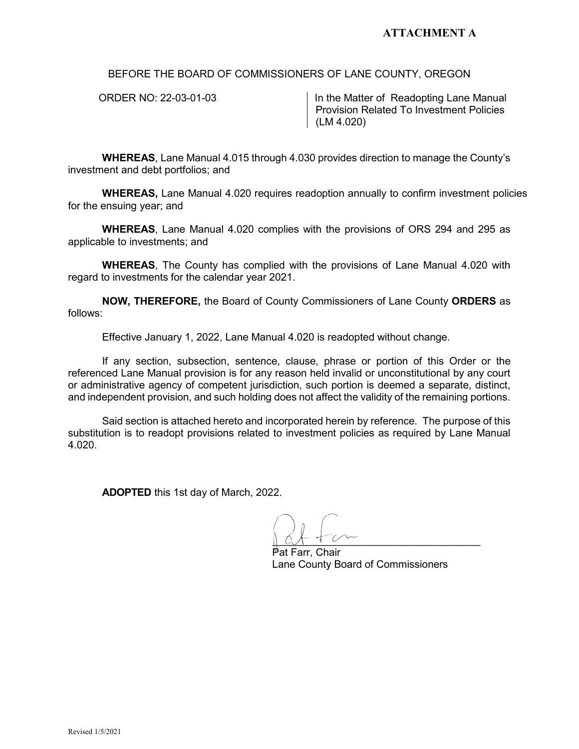BEFORE THE BOARD OF COMMISSIONERS OF LANE COUNTY, OREGON

ORDER NO: 22-03-01-03 **In the Matter of Readopting Lane Manual** Provision Related To Investment Policies (LM 4.020)

**WHEREAS**, Lane Manual 4.015 through 4.030 provides direction to manage the County's investment and debt portfolios; and

**WHEREAS,** Lane Manual 4.020 requires readoption annually to confirm investment policies for the ensuing year; and

**WHEREAS**, Lane Manual 4.020 complies with the provisions of ORS 294 and 295 as applicable to investments; and

**WHEREAS**, The County has complied with the provisions of Lane Manual 4.020 with regard to investments for the calendar year 2021.

**NOW, THEREFORE,** the Board of County Commissioners of Lane County **ORDERS** as follows:

Effective January 1, 2022, Lane Manual 4.020 is readopted without change.

If any section, subsection, sentence, clause, phrase or portion of this Order or the referenced Lane Manual provision is for any reason held invalid or unconstitutional by any court or administrative agency of competent jurisdiction, such portion is deemed a separate, distinct, and independent provision, and such holding does not affect the validity of the remaining portions.

Said section is attached hereto and incorporated herein by reference. The purpose of this substitution is to readopt provisions related to investment policies as required by Lane Manual 4.020.

**ADOPTED** this 1st day of March, 2022.

 $\mathbb{R}$ 

Pat Farr, Chair Lane County Board of Commissioners